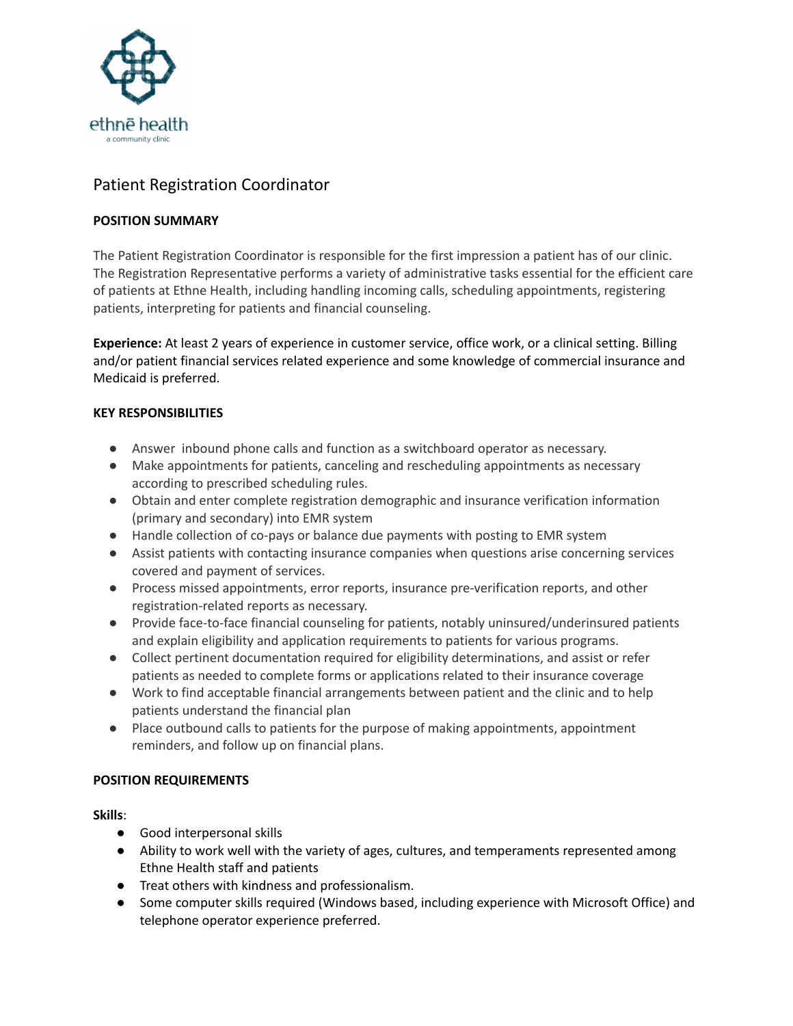

# Patient Registration Coordinator

## **POSITION SUMMARY**

The Patient Registration Coordinator is responsible for the first impression a patient has of our clinic. The Registration Representative performs a variety of administrative tasks essential for the efficient care of patients at Ethne Health, including handling incoming calls, scheduling appointments, registering patients, interpreting for patients and financial counseling.

**Experience:** At least 2 years of experience in customer service, office work, or a clinical setting. Billing and/or patient financial services related experience and some knowledge of commercial insurance and Medicaid is preferred.

## **KEY RESPONSIBILITIES**

- Answer inbound phone calls and function as a switchboard operator as necessary.
- Make appointments for patients, canceling and rescheduling appointments as necessary according to prescribed scheduling rules.
- Obtain and enter complete registration demographic and insurance verification information (primary and secondary) into EMR system
- Handle collection of co-pays or balance due payments with posting to EMR system
- Assist patients with contacting insurance companies when questions arise concerning services covered and payment of services.
- Process missed appointments, error reports, insurance pre-verification reports, and other registration-related reports as necessary.
- Provide face-to-face financial counseling for patients, notably uninsured/underinsured patients and explain eligibility and application requirements to patients for various programs.
- Collect pertinent documentation required for eligibility determinations, and assist or refer patients as needed to complete forms or applications related to their insurance coverage
- Work to find acceptable financial arrangements between patient and the clinic and to help patients understand the financial plan
- Place outbound calls to patients for the purpose of making appointments, appointment reminders, and follow up on financial plans.

## **POSITION REQUIREMENTS**

#### **Skills**:

- Good interpersonal skills
- Ability to work well with the variety of ages, cultures, and temperaments represented among Ethne Health staff and patients
- Treat others with kindness and professionalism.
- Some computer skills required (Windows based, including experience with Microsoft Office) and telephone operator experience preferred.